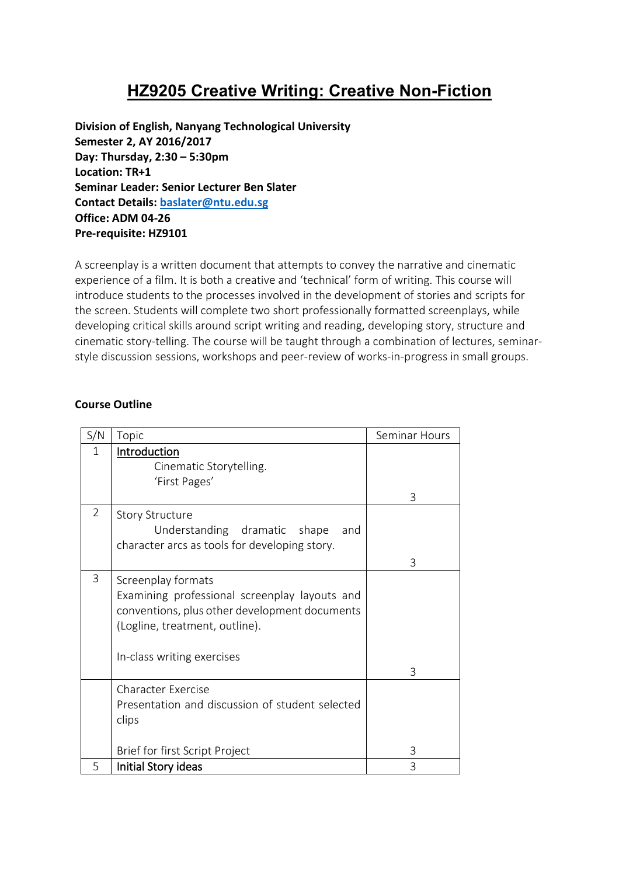# **HZ9205 Creative Writing: Creative Non-Fiction**

**Division of English, Nanyang Technological University Semester 2, AY 2016/2017 Day: Thursday, 2:30 – 5:30pm Location: TR+1 Seminar Leader: Senior Lecturer Ben Slater Contact Details[: baslater@ntu.edu.sg](mailto:baslater@ntu.edu.sg) Office: ADM 04-26 Pre-requisite: HZ9101**

A screenplay is a written document that attempts to convey the narrative and cinematic experience of a film. It is both a creative and 'technical' form of writing. This course will introduce students to the processes involved in the development of stories and scripts for the screen. Students will complete two short professionally formatted screenplays, while developing critical skills around script writing and reading, developing story, structure and cinematic story-telling. The course will be taught through a combination of lectures, seminarstyle discussion sessions, workshops and peer-review of works-in-progress in small groups.

#### **Course Outline**

| S/N            | Topic                                           | Seminar Hours |
|----------------|-------------------------------------------------|---------------|
| 1              | Introduction                                    |               |
|                | Cinematic Storytelling.                         |               |
|                | 'First Pages'                                   |               |
|                |                                                 | 3             |
| $\overline{2}$ | <b>Story Structure</b>                          |               |
|                | Understanding dramatic shape<br>and             |               |
|                | character arcs as tools for developing story.   |               |
|                |                                                 | 3             |
| 3              | Screenplay formats                              |               |
|                | Examining professional screenplay layouts and   |               |
|                | conventions, plus other development documents   |               |
|                | (Logline, treatment, outline).                  |               |
|                |                                                 |               |
|                | In-class writing exercises                      |               |
|                |                                                 | 3             |
|                | Character Exercise                              |               |
|                | Presentation and discussion of student selected |               |
|                | clips                                           |               |
|                |                                                 |               |
|                | Brief for first Script Project                  | 3             |
| 5              | Initial Story ideas                             | 3             |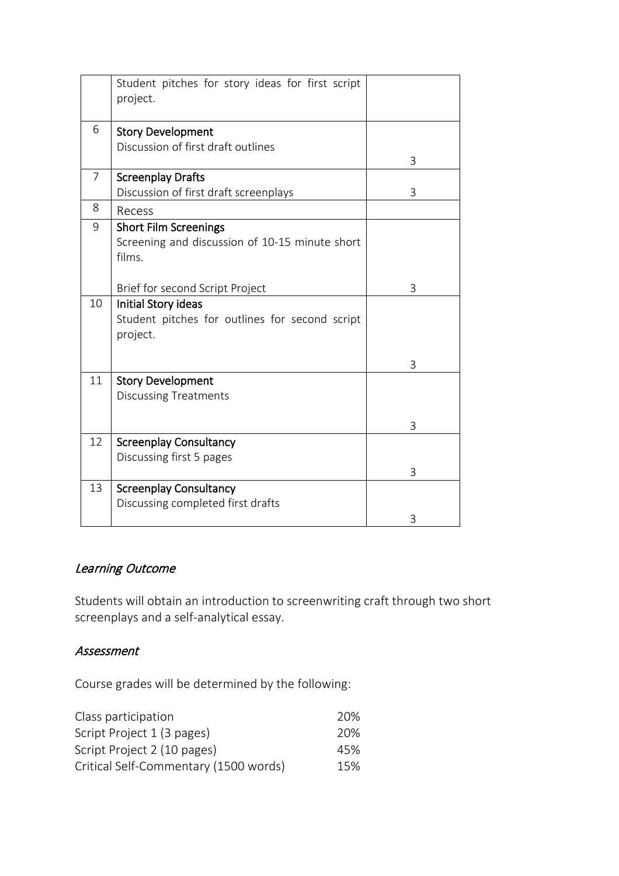|                | Student pitches for story ideas for first script<br>project.                             |   |
|----------------|------------------------------------------------------------------------------------------|---|
| 6              | <b>Story Development</b><br>Discussion of first draft outlines                           | 3 |
| $\overline{7}$ | <b>Screenplay Drafts</b><br>Discussion of first draft screenplays                        | 3 |
| 8              | Recess                                                                                   |   |
| 9              | <b>Short Film Screenings</b><br>Screening and discussion of 10-15 minute short<br>films. |   |
|                | Brief for second Script Project                                                          | 3 |
| 10             | Initial Story ideas<br>Student pitches for outlines for second script<br>project.        |   |
|                |                                                                                          | 3 |
| 11             | <b>Story Development</b><br><b>Discussing Treatments</b>                                 |   |
|                |                                                                                          | 3 |
| 12             | <b>Screenplay Consultancy</b><br>Discussing first 5 pages                                | 3 |
| 13             | <b>Screenplay Consultancy</b><br>Discussing completed first drafts                       | 3 |
|                |                                                                                          |   |

# Learning Outcome

Students will obtain an introduction to screenwriting craft through two short screenplays and a self-analytical essay.

### Assessment

Course grades will be determined by the following:

| Class participation                   | 20% |
|---------------------------------------|-----|
| Script Project 1 (3 pages)            | 20% |
| Script Project 2 (10 pages)           | 45% |
| Critical Self-Commentary (1500 words) | 15% |